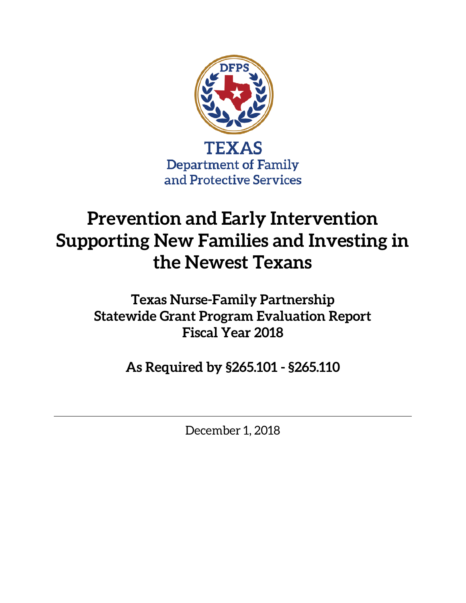

# **Prevention and Early Intervention Supporting New Families and Investing in the Newest Texans**

**Texas Nurse-Family Partnership Statewide Grant Program Evaluation Report Fiscal Year 2018**

**As Required by §265.101 - §265.110**

December 1, 2018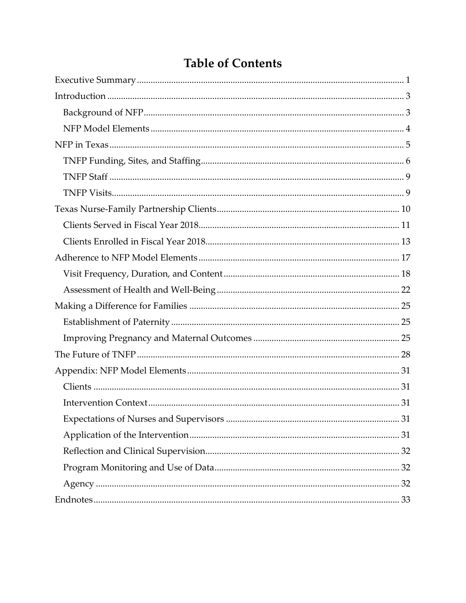# **Table of Contents**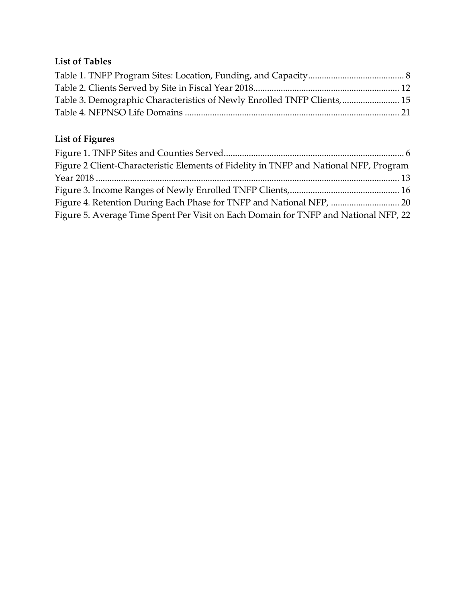### **List of Tables**

| Table 3. Demographic Characteristics of Newly Enrolled TNFP Clients,  15 |  |
|--------------------------------------------------------------------------|--|
|                                                                          |  |

# **List of Figures**

| Figure 2 Client-Characteristic Elements of Fidelity in TNFP and National NFP, Program |  |
|---------------------------------------------------------------------------------------|--|
|                                                                                       |  |
|                                                                                       |  |
|                                                                                       |  |
| Figure 5. Average Time Spent Per Visit on Each Domain for TNFP and National NFP, 22   |  |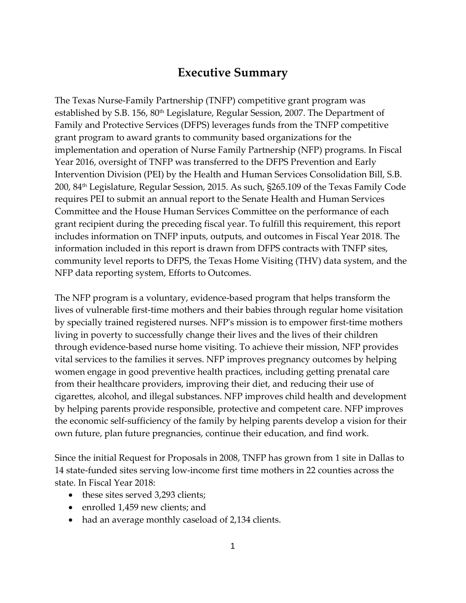## **Executive Summary**

<span id="page-4-0"></span>The Texas Nurse-Family Partnership (TNFP) competitive grant program was established by S.B. 156, 80<sup>th</sup> Legislature, Regular Session, 2007. The Department of Family and Protective Services (DFPS) leverages funds from the TNFP competitive grant program to award grants to community based organizations for the implementation and operation of Nurse Family Partnership (NFP) programs. In Fiscal Year 2016, oversight of TNFP was transferred to the DFPS Prevention and Early Intervention Division (PEI) by the Health and Human Services Consolidation Bill, S.B. 200, 84th Legislature, Regular Session, 2015. As such, §265.109 of the Texas Family Code requires PEI to submit an annual report to the Senate Health and Human Services Committee and the House Human Services Committee on the performance of each grant recipient during the preceding fiscal year. To fulfill this requirement, this report includes information on TNFP inputs, outputs, and outcomes in Fiscal Year 2018. The information included in this report is drawn from DFPS contracts with TNFP sites, community level reports to DFPS, the Texas Home Visiting (THV) data system, and the NFP data reporting system, Efforts to Outcomes.

The NFP program is a voluntary, evidence-based program that helps transform the lives of vulnerable first-time mothers and their babies through regular home visitation by specially trained registered nurses. NFP's mission is to empower first-time mothers living in poverty to successfully change their lives and the lives of their children through evidence-based nurse home visiting. To achieve their mission, NFP provides vital services to the families it serves. NFP improves pregnancy outcomes by helping women engage in good preventive health practices, including getting prenatal care from their healthcare providers, improving their diet, and reducing their use of cigarettes, alcohol, and illegal substances. NFP improves child health and development by helping parents provide responsible, protective and competent care. NFP improves the economic self-sufficiency of the family by helping parents develop a vision for their own future, plan future pregnancies, continue their education, and find work.

Since the initial Request for Proposals in 2008, TNFP has grown from 1 site in Dallas to 14 state-funded sites serving low-income first time mothers in 22 counties across the state. In Fiscal Year 2018:

- these sites served 3,293 clients;
- enrolled 1,459 new clients; and
- had an average monthly caseload of 2,134 clients.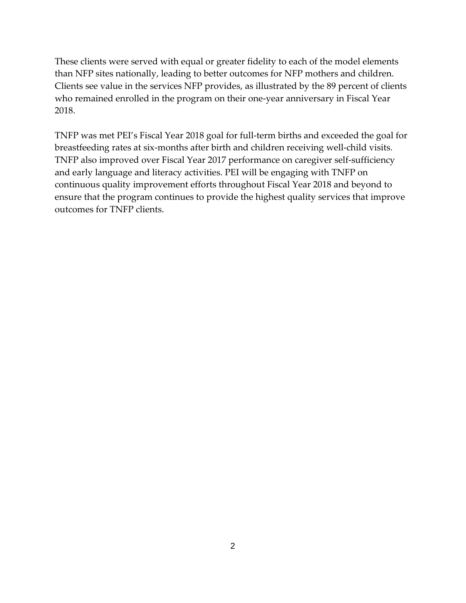These clients were served with equal or greater fidelity to each of the model elements than NFP sites nationally, leading to better outcomes for NFP mothers and children. Clients see value in the services NFP provides, as illustrated by the 89 percent of clients who remained enrolled in the program on their one-year anniversary in Fiscal Year 2018.

TNFP was met PEI's Fiscal Year 2018 goal for full-term births and exceeded the goal for breastfeeding rates at six-months after birth and children receiving well-child visits. TNFP also improved over Fiscal Year 2017 performance on caregiver self-sufficiency and early language and literacy activities. PEI will be engaging with TNFP on continuous quality improvement efforts throughout Fiscal Year 2018 and beyond to ensure that the program continues to provide the highest quality services that improve outcomes for TNFP clients.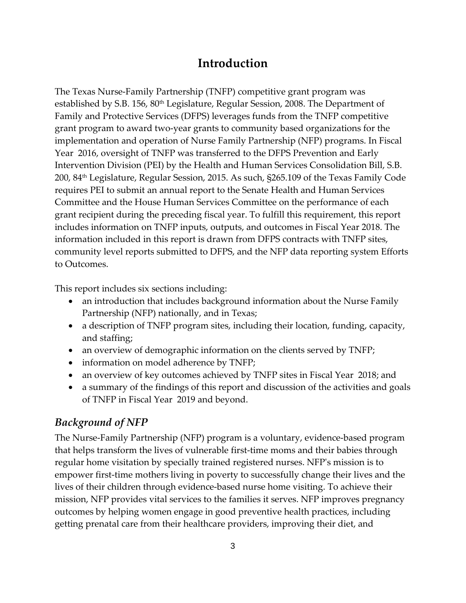# **Introduction**

<span id="page-6-0"></span>The Texas Nurse-Family Partnership (TNFP) competitive grant program was established by S.B. 156, 80<sup>th</sup> Legislature, Regular Session, 2008. The Department of Family and Protective Services (DFPS) leverages funds from the TNFP competitive grant program to award two-year grants to community based organizations for the implementation and operation of Nurse Family Partnership (NFP) programs. In Fiscal Year 2016, oversight of TNFP was transferred to the DFPS Prevention and Early Intervention Division (PEI) by the Health and Human Services Consolidation Bill, S.B. 200, 84th Legislature, Regular Session, 2015. As such, §265.109 of the Texas Family Code requires PEI to submit an annual report to the Senate Health and Human Services Committee and the House Human Services Committee on the performance of each grant recipient during the preceding fiscal year. To fulfill this requirement, this report includes information on TNFP inputs, outputs, and outcomes in Fiscal Year 2018. The information included in this report is drawn from DFPS contracts with TNFP sites, community level reports submitted to DFPS, and the NFP data reporting system Efforts to Outcomes.

This report includes six sections including:

- an introduction that includes background information about the Nurse Family Partnership (NFP) nationally, and in Texas;
- a description of TNFP program sites, including their location, funding, capacity, and staffing;
- an overview of demographic information on the clients served by TNFP;
- information on model adherence by TNFP;
- an overview of key outcomes achieved by TNFP sites in Fiscal Year 2018; and
- a summary of the findings of this report and discussion of the activities and goals of TNFP in Fiscal Year 2019 and beyond.

#### <span id="page-6-1"></span>*Background of NFP*

The Nurse-Family Partnership (NFP) program is a voluntary, evidence-based program that helps transform the lives of vulnerable first-time moms and their babies through regular home visitation by specially trained registered nurses. NFP's mission is to empower first-time mothers living in poverty to successfully change their lives and the lives of their children through evidence-based nurse home visiting. To achieve their mission, NFP provides vital services to the families it serves. NFP improves pregnancy outcomes by helping women engage in good preventive health practices, including getting prenatal care from their healthcare providers, improving their diet, and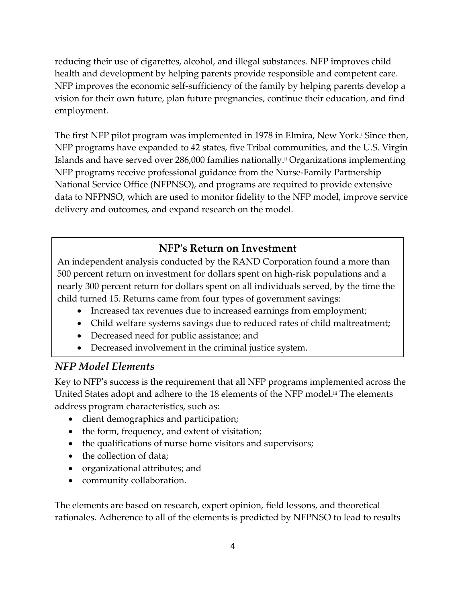reducing their use of cigarettes, alcohol, and illegal substances. NFP improves child health and development by helping parents provide responsible and competent care. NFP improves the economic self-sufficiency of the family by helping parents develop a vision for their own future, plan future pregnancies, continue their education, and find employment.

The first NFP pilot program was implemented in 1978 in Elmira, New York.<sup>i</sup> Since then, NFP programs have expanded to 42 states, five Tribal communities, and the U.S. Virgin Islands and have served over 286,000 families nationally.<sup>ii</sup> Organizations implementing NFP programs receive professional guidance from the Nurse-Family Partnership National Service Office (NFPNSO), and programs are required to provide extensive data to NFPNSO, which are used to monitor fidelity to the NFP model, improve service delivery and outcomes, and expand research on the model.

## **NFP's Return on Investment**

An independent analysis conducted by the RAND Corporation found a more than 500 percent return on investment for dollars spent on high-risk populations and a nearly 300 percent return for dollars spent on all individuals served, by the time the child turned 15. Returns came from four types of government savings:

- Increased tax revenues due to increased earnings from employment;
- Child welfare systems savings due to reduced rates of child maltreatment;
- Decreased need for public assistance; and
- Decreased involvement in the criminal justice system.

#### <span id="page-7-0"></span>*NFP Model Elements*

Key to NFP's success is the requirement that all NFP programs implemented across the United States adopt and adhere to the 18 elements of the NFP model.<sup>iii</sup> The elements address program characteristics, such as:

- client demographics and participation;
- the form, frequency, and extent of visitation;
- the qualifications of nurse home visitors and supervisors;
- the collection of data;
- organizational attributes; and
- community collaboration.

The elements are based on research, expert opinion, field lessons, and theoretical rationales. Adherence to all of the elements is predicted by NFPNSO to lead to results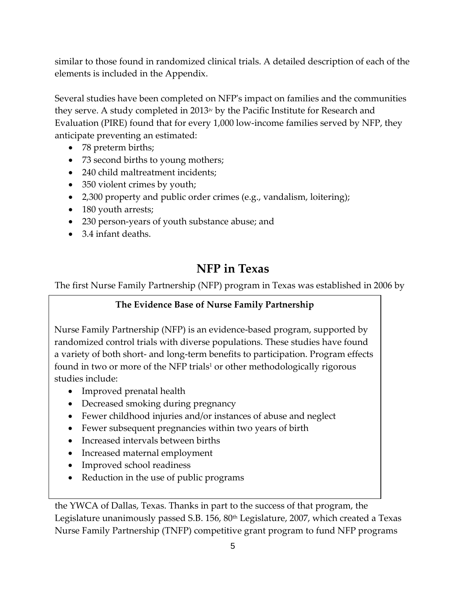similar to those found in randomized clinical trials. A detailed description of each of the elements is included in the Appendix.

Several studies have been completed on NFP's impact on families and the communities they serve. A study completed in 2013<sup> $w$ </sup> by the Pacific Institute for Research and Evaluation (PIRE) found that for every 1,000 low-income families served by NFP, they anticipate preventing an estimated:

- 78 preterm births;
- 73 second births to young mothers;
- 240 child maltreatment incidents;
- 350 violent crimes by youth;
- 2,300 property and public order crimes (e.g., vandalism, loitering);
- 180 youth arrests;
- 230 person-years of youth substance abuse; and
- <span id="page-8-0"></span>• 3.4 infant deaths.

# **NFP in Texas**

The first Nurse Family Partnership (NFP) program in Texas was established in 2006 by

#### **The Evidence Base of Nurse Family Partnership**

Nurse Family Partnership (NFP) is an evidence-based program, supported by randomized control trials with diverse populations. These studies have found a variety of both short- and long-term benefits to participation. Program effects found in two or more of the NFP trials<sup>1</sup> or other methodologically rigorous studies include:

- Improved prenatal health
- Decreased smoking during pregnancy
- Fewer childhood injuries and/or instances of abuse and neglect
- Fewer subsequent pregnancies within two years of birth
- Increased intervals between births
- Increased maternal employment
- Improved school readiness
- Reduction in the use of public programs

the YWCA of Dallas, Texas. Thanks in part to the success of that program, the Legislature unanimously passed S.B. 156, 80<sup>th</sup> Legislature, 2007, which created a Texas Nurse Family Partnership (TNFP) competitive grant program to fund NFP programs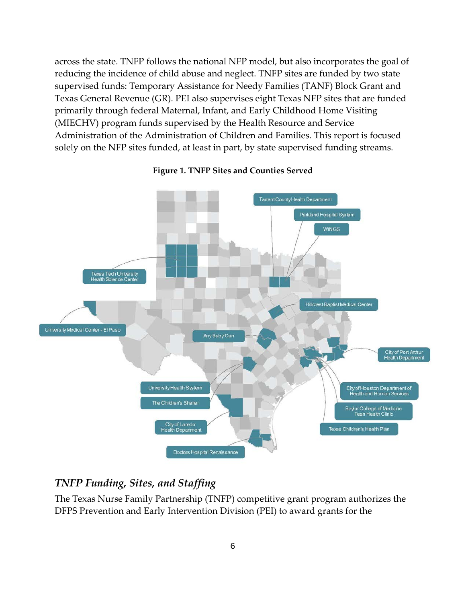across the state. TNFP follows the national NFP model, but also incorporates the goal of reducing the incidence of child abuse and neglect. TNFP sites are funded by two state supervised funds: Temporary Assistance for Needy Families (TANF) Block Grant and Texas General Revenue (GR). PEI also supervises eight Texas NFP sites that are funded primarily through federal Maternal, Infant, and Early Childhood Home Visiting (MIECHV) program funds supervised by the Health Resource and Service Administration of the Administration of Children and Families. This report is focused solely on the NFP sites funded, at least in part, by state supervised funding streams.



#### <span id="page-9-1"></span>**Figure 1. TNFP Sites and Counties Served**

### <span id="page-9-0"></span>*TNFP Funding, Sites, and Staffing*

The Texas Nurse Family Partnership (TNFP) competitive grant program authorizes the DFPS Prevention and Early Intervention Division (PEI) to award grants for the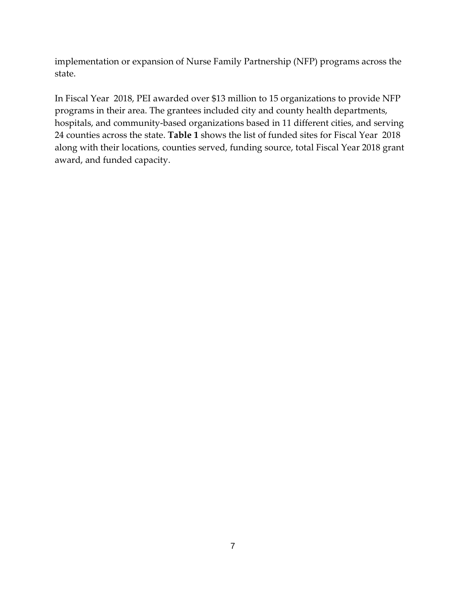implementation or expansion of Nurse Family Partnership (NFP) programs across the state.

In Fiscal Year 2018, PEI awarded over \$13 million to 15 organizations to provide NFP programs in their area. The grantees included city and county health departments, hospitals, and community-based organizations based in 11 different cities, and serving 24 counties across the state. **Table 1** shows the list of funded sites for Fiscal Year 2018 along with their locations, counties served, funding source, total Fiscal Year 2018 grant award, and funded capacity.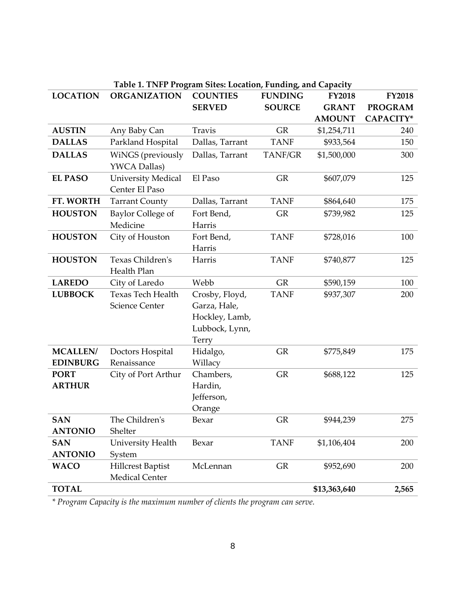<span id="page-11-0"></span>

| Table 1. TNFP Program Sites: Location, Funding, and Capacity |                                                   |                                                                             |                |               |                |
|--------------------------------------------------------------|---------------------------------------------------|-----------------------------------------------------------------------------|----------------|---------------|----------------|
| <b>LOCATION</b>                                              | <b>ORGANIZATION</b>                               | <b>COUNTIES</b>                                                             | <b>FUNDING</b> | <b>FY2018</b> | <b>FY2018</b>  |
|                                                              |                                                   | <b>SERVED</b>                                                               | <b>SOURCE</b>  | <b>GRANT</b>  | <b>PROGRAM</b> |
|                                                              |                                                   |                                                                             |                | <b>AMOUNT</b> | CAPACITY*      |
| <b>AUSTIN</b>                                                | Any Baby Can                                      | <b>Travis</b>                                                               | <b>GR</b>      | \$1,254,711   | 240            |
| <b>DALLAS</b>                                                | Parkland Hospital                                 | Dallas, Tarrant                                                             | <b>TANF</b>    | \$933,564     | 150            |
| <b>DALLAS</b>                                                | WiNGS (previously<br><b>YWCA Dallas)</b>          | Dallas, Tarrant                                                             | TANF/GR        | \$1,500,000   | 300            |
| <b>EL PASO</b>                                               | <b>University Medical</b><br>Center El Paso       | El Paso                                                                     | <b>GR</b>      | \$607,079     | 125            |
| FT. WORTH                                                    | <b>Tarrant County</b>                             | Dallas, Tarrant                                                             | <b>TANF</b>    | \$864,640     | 175            |
| <b>HOUSTON</b>                                               | Baylor College of<br>Medicine                     | Fort Bend,<br>Harris                                                        | <b>GR</b>      | \$739,982     | 125            |
| <b>HOUSTON</b>                                               | City of Houston                                   | Fort Bend,<br>Harris                                                        | <b>TANF</b>    | \$728,016     | 100            |
| <b>HOUSTON</b>                                               | Texas Children's<br>Health Plan                   | Harris                                                                      | <b>TANF</b>    | \$740,877     | 125            |
| <b>LAREDO</b>                                                | City of Laredo                                    | Webb                                                                        | <b>GR</b>      | \$590,159     | 100            |
| <b>LUBBOCK</b>                                               | <b>Texas Tech Health</b><br><b>Science Center</b> | Crosby, Floyd,<br>Garza, Hale,<br>Hockley, Lamb,<br>Lubbock, Lynn,<br>Terry | <b>TANF</b>    | \$937,307     | 200            |
| <b>MCALLEN</b> /<br><b>EDINBURG</b>                          | Doctors Hospital<br>Renaissance                   | Hidalgo,<br>Willacy                                                         | GR             | \$775,849     | 175            |
| <b>PORT</b><br><b>ARTHUR</b>                                 | City of Port Arthur                               | Chambers,<br>Hardin,<br>Jefferson,<br>Orange                                | <b>GR</b>      | \$688,122     | 125            |
| <b>SAN</b><br><b>ANTONIO</b>                                 | The Children's<br>Shelter                         | Bexar                                                                       | GR             | \$944,239     | 275            |
| <b>SAN</b><br><b>ANTONIO</b>                                 | University Health<br>System                       | Bexar                                                                       | <b>TANF</b>    | \$1,106,404   | 200            |
| <b>WACO</b>                                                  | <b>Hillcrest Baptist</b><br>Medical Center        | McLennan                                                                    | GR             | \$952,690     | 200            |
| <b>TOTAL</b>                                                 |                                                   |                                                                             |                | \$13,363,640  | 2,565          |

*\* Program Capacity is the maximum number of clients the program can serve.*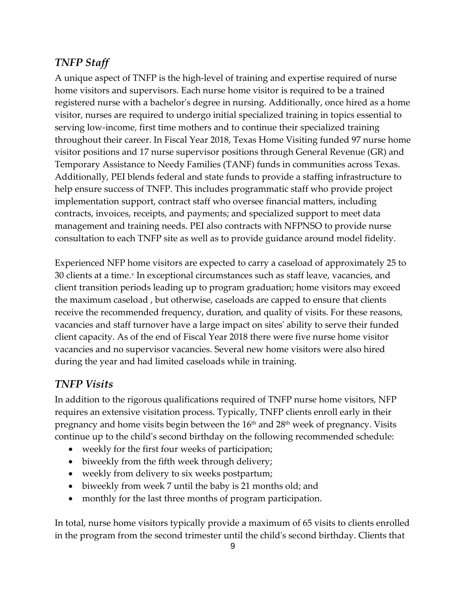### <span id="page-12-0"></span>*TNFP Staff*

A unique aspect of TNFP is the high-level of training and expertise required of nurse home visitors and supervisors. Each nurse home visitor is required to be a trained registered nurse with a bachelor's degree in nursing. Additionally, once hired as a home visitor, nurses are required to undergo initial specialized training in topics essential to serving low-income, first time mothers and to continue their specialized training throughout their career. In Fiscal Year 2018, Texas Home Visiting funded 97 nurse home visitor positions and 17 nurse supervisor positions through General Revenue (GR) and Temporary Assistance to Needy Families (TANF) funds in communities across Texas. Additionally, PEI blends federal and state funds to provide a staffing infrastructure to help ensure success of TNFP. This includes programmatic staff who provide project implementation support, contract staff who oversee financial matters, including contracts, invoices, receipts, and payments; and specialized support to meet data management and training needs. PEI also contracts with NFPNSO to provide nurse consultation to each TNFP site as well as to provide guidance around model fidelity.

Experienced NFP home visitors are expected to carry a caseload of approximately 25 to 30 clients at a time.<sup>v</sup> In exceptional circumstances such as staff leave, vacancies, and client transition periods leading up to program graduation; home visitors may exceed the maximum caseload , but otherwise, caseloads are capped to ensure that clients receive the recommended frequency, duration, and quality of visits. For these reasons, vacancies and staff turnover have a large impact on sites' ability to serve their funded client capacity. As of the end of Fiscal Year 2018 there were five nurse home visitor vacancies and no supervisor vacancies. Several new home visitors were also hired during the year and had limited caseloads while in training.

### <span id="page-12-1"></span>*TNFP Visits*

In addition to the rigorous qualifications required of TNFP nurse home visitors, NFP requires an extensive visitation process. Typically, TNFP clients enroll early in their pregnancy and home visits begin between the  $16<sup>th</sup>$  and  $28<sup>th</sup>$  week of pregnancy. Visits continue up to the child's second birthday on the following recommended schedule:

- weekly for the first four weeks of participation;
- biweekly from the fifth week through delivery;
- weekly from delivery to six weeks postpartum;
- biweekly from week 7 until the baby is 21 months old; and
- monthly for the last three months of program participation.

In total, nurse home visitors typically provide a maximum of 65 visits to clients enrolled in the program from the second trimester until the child's second birthday. Clients that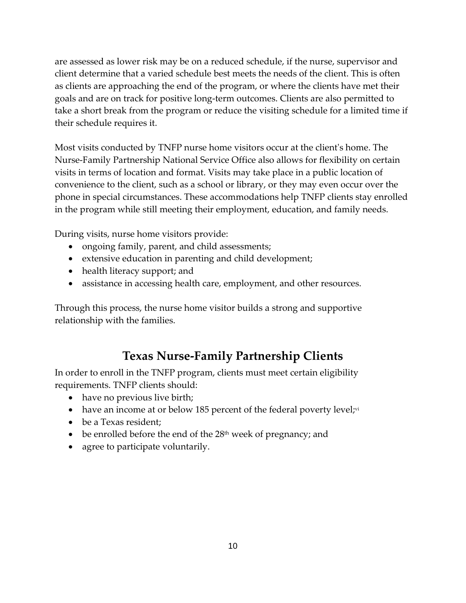are assessed as lower risk may be on a reduced schedule, if the nurse, supervisor and client determine that a varied schedule best meets the needs of the client. This is often as clients are approaching the end of the program, or where the clients have met their goals and are on track for positive long-term outcomes. Clients are also permitted to take a short break from the program or reduce the visiting schedule for a limited time if their schedule requires it.

Most visits conducted by TNFP nurse home visitors occur at the client's home. The Nurse-Family Partnership National Service Office also allows for flexibility on certain visits in terms of location and format. Visits may take place in a public location of convenience to the client, such as a school or library, or they may even occur over the phone in special circumstances. These accommodations help TNFP clients stay enrolled in the program while still meeting their employment, education, and family needs.

During visits, nurse home visitors provide:

- ongoing family, parent, and child assessments;
- extensive education in parenting and child development;
- health literacy support; and
- assistance in accessing health care, employment, and other resources.

Through this process, the nurse home visitor builds a strong and supportive relationship with the families.

# **Texas Nurse-Family Partnership Clients**

<span id="page-13-0"></span>In order to enroll in the TNFP program, clients must meet certain eligibility requirements. TNFP clients should:

- have no previous live birth;
- have an income at or below 185 percent of the federal poverty level;vi
- be a Texas resident;
- be enrolled before the end of the  $28<sup>th</sup>$  week of pregnancy; and
- agree to participate voluntarily.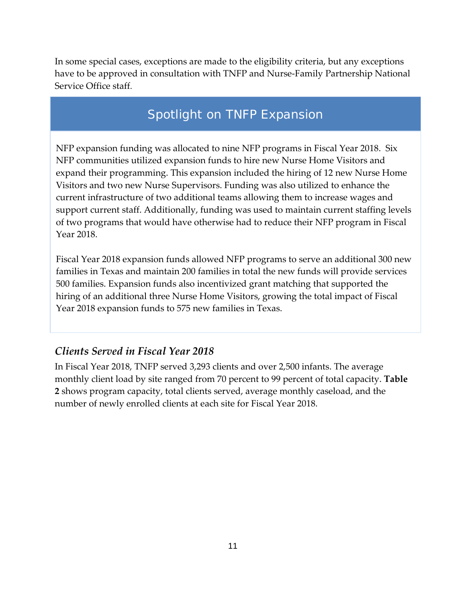In some special cases, exceptions are made to the eligibility criteria, but any exceptions have to be approved in consultation with TNFP and Nurse-Family Partnership National Service Office staff.

# Spotlight on TNFP Expansion

NFP expansion funding was allocated to nine NFP programs in Fiscal Year 2018. Six NFP communities utilized expansion funds to hire new Nurse Home Visitors and expand their programming. This expansion included the hiring of 12 new Nurse Home Visitors and two new Nurse Supervisors. Funding was also utilized to enhance the current infrastructure of two additional teams allowing them to increase wages and support current staff. Additionally, funding was used to maintain current staffing levels of two programs that would have otherwise had to reduce their NFP program in Fiscal Year 2018.

Fiscal Year 2018 expansion funds allowed NFP programs to serve an additional 300 new families in Texas and maintain 200 families in total the new funds will provide services 500 families. Expansion funds also incentivized grant matching that supported the hiring of an additional three Nurse Home Visitors, growing the total impact of Fiscal Year 2018 expansion funds to 575 new families in Texas.

#### <span id="page-14-0"></span>*Clients Served in Fiscal Year 2018*

In Fiscal Year 2018, TNFP served 3,293 clients and over 2,500 infants. The average monthly client load by site ranged from 70 percent to 99 percent of total capacity. **Table 2** shows program capacity, total clients served, average monthly caseload, and the number of newly enrolled clients at each site for Fiscal Year 2018.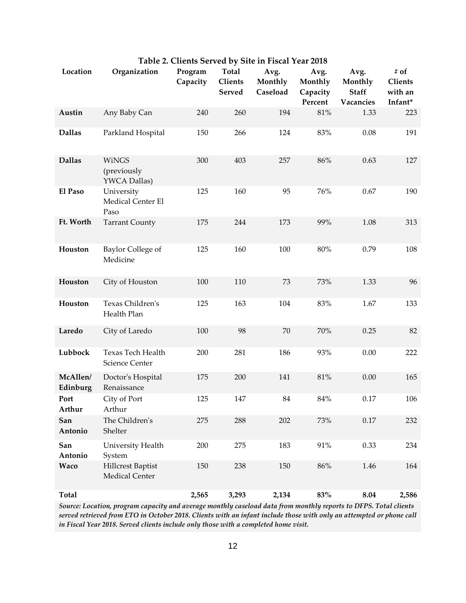<span id="page-15-0"></span>

| Location             | Organization                                | Program<br>Capacity | Total<br><b>Clients</b><br><b>Served</b> | Avg.<br>Monthly<br>Caseload | Avg.<br>Monthly<br>Capacity<br>Percent | Avg.<br>Monthly<br><b>Staff</b><br>Vacancies | # of<br>Clients<br>with an<br>Infant* |
|----------------------|---------------------------------------------|---------------------|------------------------------------------|-----------------------------|----------------------------------------|----------------------------------------------|---------------------------------------|
| Austin               | Any Baby Can                                | 240                 | 260                                      | 194                         | 81%                                    | 1.33                                         | 223                                   |
| <b>Dallas</b>        | Parkland Hospital                           | 150                 | 266                                      | 124                         | 83%                                    | 0.08                                         | 191                                   |
| <b>Dallas</b>        | <b>WiNGS</b><br>(previously<br>YWCA Dallas) | 300                 | 403                                      | 257                         | 86%                                    | 0.63                                         | 127                                   |
| El Paso              | University<br>Medical Center El<br>Paso     | 125                 | 160                                      | 95                          | 76%                                    | 0.67                                         | 190                                   |
| Ft. Worth            | <b>Tarrant County</b>                       | 175                 | 244                                      | 173                         | 99%                                    | 1.08                                         | 313                                   |
| Houston              | Baylor College of<br>Medicine               | 125                 | 160                                      | 100                         | $80\%$                                 | 0.79                                         | 108                                   |
| Houston              | City of Houston                             | 100                 | 110                                      | 73                          | 73%                                    | 1.33                                         | 96                                    |
| Houston              | Texas Children's<br>Health Plan             | 125                 | 163                                      | 104                         | 83%                                    | 1.67                                         | 133                                   |
| Laredo               | City of Laredo                              | 100                 | 98                                       | 70                          | 70%                                    | 0.25                                         | 82                                    |
| Lubbock              | Texas Tech Health<br><b>Science Center</b>  | 200                 | 281                                      | 186                         | 93%                                    | 0.00                                         | 222                                   |
| McAllen/<br>Edinburg | Doctor's Hospital<br>Renaissance            | 175                 | 200                                      | 141                         | $81\%$                                 | 0.00                                         | 165                                   |
| Port<br>Arthur       | City of Port<br>Arthur                      | 125                 | 147                                      | 84                          | $84\%$                                 | 0.17                                         | 106                                   |
| San<br>Antonio       | The Children's<br>Shelter                   | 275                 | 288                                      | 202                         | 73%                                    | 0.17                                         | 232                                   |
| San<br>Antonio       | University Health<br>System                 | 200                 | 275                                      | 183                         | 91%                                    | 0.33                                         | 234                                   |
| Waco                 | <b>Hillcrest Baptist</b><br>Medical Center  | 150                 | 238                                      | 150                         | 86%                                    | 1.46                                         | 164                                   |
| <b>Total</b>         |                                             | 2,565               | 3,293                                    | 2,134                       | 83%                                    | 8.04                                         | 2,586                                 |

**Table 2. Clients Served by Site in Fiscal Year 2018**

*Source: Location, program capacity and average monthly caseload data from monthly reports to DFPS. Total clients served retrieved from ETO in October 2018. Clients with an infant include those with only an attempted or phone call in Fiscal Year 2018. Served clients include only those with a completed home visit.*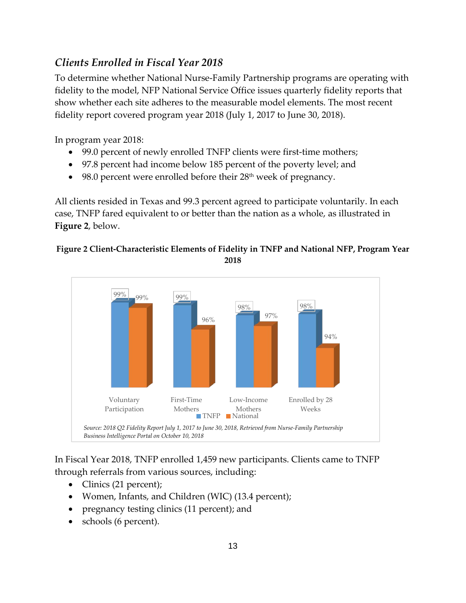### <span id="page-16-0"></span>*Clients Enrolled in Fiscal Year 2018*

To determine whether National Nurse-Family Partnership programs are operating with fidelity to the model, NFP National Service Office issues quarterly fidelity reports that show whether each site adheres to the measurable model elements. The most recent fidelity report covered program year 2018 (July 1, 2017 to June 30, 2018).

In program year 2018:

- 99.0 percent of newly enrolled TNFP clients were first-time mothers;
- 97.8 percent had income below 185 percent of the poverty level; and
- 98.0 percent were enrolled before their 28<sup>th</sup> week of pregnancy.

All clients resided in Texas and 99.3 percent agreed to participate voluntarily. In each case, TNFP fared equivalent to or better than the nation as a whole, as illustrated in **Figure 2**, below.

#### <span id="page-16-1"></span>**Figure 2 Client-Characteristic Elements of Fidelity in TNFP and National NFP, Program Year 2018**



In Fiscal Year 2018, TNFP enrolled 1,459 new participants. Clients came to TNFP through referrals from various sources, including:

- Clinics (21 percent);
- Women, Infants, and Children (WIC) (13.4 percent);
- pregnancy testing clinics (11 percent); and
- schools (6 percent).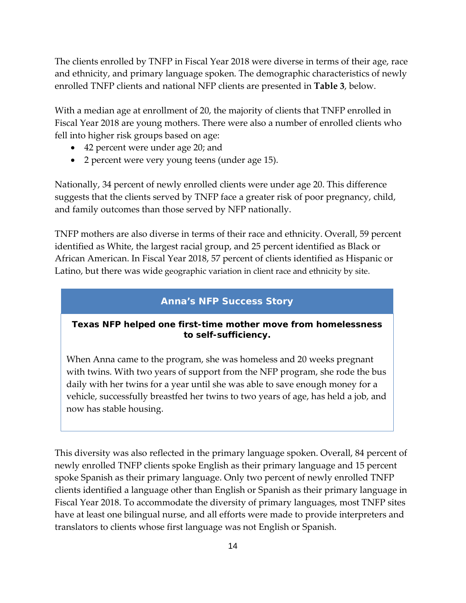The clients enrolled by TNFP in Fiscal Year 2018 were diverse in terms of their age, race and ethnicity, and primary language spoken. The demographic characteristics of newly enrolled TNFP clients and national NFP clients are presented in **Table 3**, below.

With a median age at enrollment of 20, the majority of clients that TNFP enrolled in Fiscal Year 2018 are young mothers. There were also a number of enrolled clients who fell into higher risk groups based on age:

- 42 percent were under age 20; and
- 2 percent were very young teens (under age 15).

Nationally, 34 percent of newly enrolled clients were under age 20. This difference suggests that the clients served by TNFP face a greater risk of poor pregnancy, child, and family outcomes than those served by NFP nationally.

TNFP mothers are also diverse in terms of their race and ethnicity. Overall, 59 percent identified as White, the largest racial group, and 25 percent identified as Black or African American. In Fiscal Year 2018, 57 percent of clients identified as Hispanic or Latino, but there was wide geographic variation in client race and ethnicity by site.

#### **Anna's NFP Success Story**

#### **Texas NFP helped one first-time mother move from homelessness to self-sufficiency.**

When Anna came to the program, she was homeless and 20 weeks pregnant with twins. With two years of support from the NFP program, she rode the bus daily with her twins for a year until she was able to save enough money for a vehicle, successfully breastfed her twins to two years of age, has held a job, and now has stable housing.

This diversity was also reflected in the primary language spoken. Overall, 84 percent of newly enrolled TNFP clients spoke English as their primary language and 15 percent spoke Spanish as their primary language. Only two percent of newly enrolled TNFP clients identified a language other than English or Spanish as their primary language in Fiscal Year 2018. To accommodate the diversity of primary languages, most TNFP sites have at least one bilingual nurse, and all efforts were made to provide interpreters and translators to clients whose first language was not English or Spanish.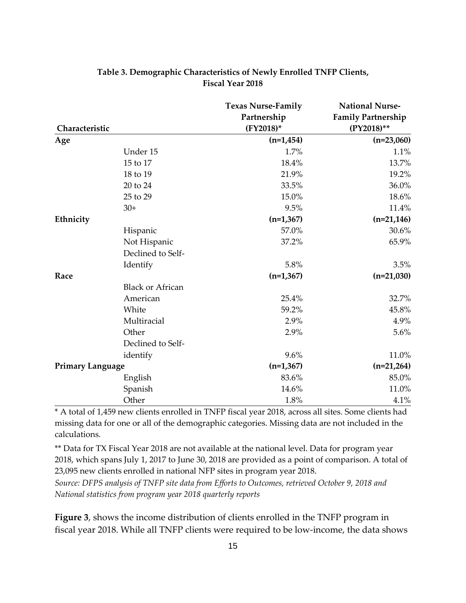<span id="page-18-0"></span>

|                         |                         | <b>Texas Nurse-Family</b> | <b>National Nurse-</b>    |
|-------------------------|-------------------------|---------------------------|---------------------------|
|                         |                         | Partnership               | <b>Family Partnership</b> |
| Characteristic          |                         | (FY2018)*                 | (PY2018)**                |
| Age                     |                         | $(n=1, 454)$              | $(n=23,060)$              |
|                         | Under 15                | 1.7%                      | 1.1%                      |
|                         | 15 to 17                | 18.4%                     | 13.7%                     |
|                         | 18 to 19                | 21.9%                     | 19.2%                     |
|                         | 20 to 24                | 33.5%                     | 36.0%                     |
|                         | 25 to 29                | 15.0%                     | 18.6%                     |
|                         | $30+$                   | 9.5%                      | 11.4%                     |
| Ethnicity               |                         | $(n=1,367)$               | $(n=21, 146)$             |
|                         | Hispanic                | 57.0%                     | 30.6%                     |
|                         | Not Hispanic            | 37.2%                     | 65.9%                     |
|                         | Declined to Self-       |                           |                           |
|                         | Identify                | 5.8%                      | 3.5%                      |
| Race                    |                         | $(n=1,367)$               | $(n=21,030)$              |
|                         | <b>Black or African</b> |                           |                           |
|                         | American                | 25.4%                     | 32.7%                     |
|                         | White                   | 59.2%                     | 45.8%                     |
|                         | Multiracial             | 2.9%                      | 4.9%                      |
|                         | Other                   | 2.9%                      | 5.6%                      |
|                         | Declined to Self-       |                           |                           |
|                         | identify                | 9.6%                      | 11.0%                     |
| <b>Primary Language</b> |                         | $(n=1,367)$               | $(n=21,264)$              |
|                         | English                 | 83.6%                     | 85.0%                     |
|                         | Spanish                 | 14.6%                     | 11.0%                     |
|                         | Other                   | 1.8%                      | 4.1%                      |

#### **Table 3. Demographic Characteristics of Newly Enrolled TNFP Clients, Fiscal Year 2018**

\* A total of 1,459 new clients enrolled in TNFP fiscal year 2018, across all sites. Some clients had missing data for one or all of the demographic categories. Missing data are not included in the calculations.

\*\* Data for TX Fiscal Year 2018 are not available at the national level. Data for program year 2018, which spans July 1, 2017 to June 30, 2018 are provided as a point of comparison. A total of 23,095 new clients enrolled in national NFP sites in program year 2018.

*Source: DFPS analysis of TNFP site data from Efforts to Outcomes, retrieved October 9, 2018 and National statistics from program year 2018 quarterly reports*

**Figure 3**, shows the income distribution of clients enrolled in the TNFP program in fiscal year 2018. While all TNFP clients were required to be low-income, the data shows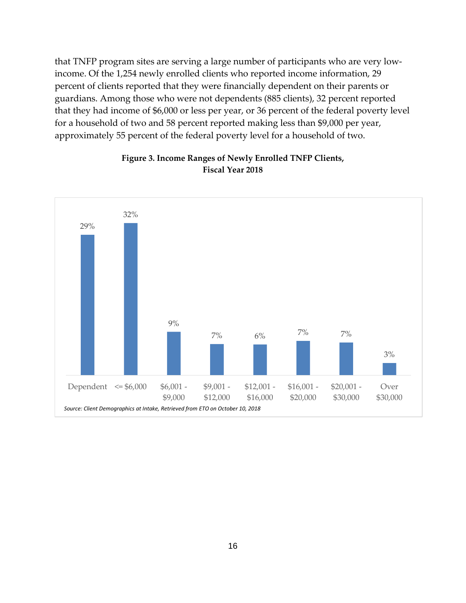that TNFP program sites are serving a large number of participants who are very lowincome. Of the 1,254 newly enrolled clients who reported income information, 29 percent of clients reported that they were financially dependent on their parents or guardians. Among those who were not dependents (885 clients), 32 percent reported that they had income of \$6,000 or less per year, or 36 percent of the federal poverty level for a household of two and 58 percent reported making less than \$9,000 per year, approximately 55 percent of the federal poverty level for a household of two.

<span id="page-19-0"></span>

#### **Figure 3. Income Ranges of Newly Enrolled TNFP Clients, Fiscal Year 2018**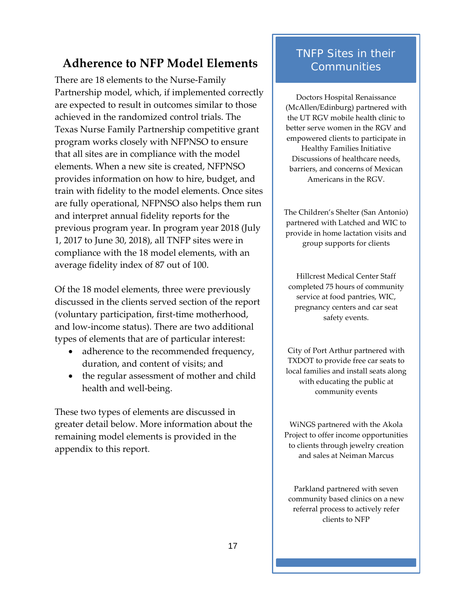# <span id="page-20-0"></span>**Adherence to NFP Model Elements**

There are 18 elements to the Nurse-Family Partnership model, which, if implemented correctly are expected to result in outcomes similar to those achieved in the randomized control trials. The Texas Nurse Family Partnership competitive grant program works closely with NFPNSO to ensure that all sites are in compliance with the model elements. When a new site is created, NFPNSO provides information on how to hire, budget, and train with fidelity to the model elements. Once sites are fully operational, NFPNSO also helps them run and interpret annual fidelity reports for the previous program year. In program year 2018 (July 1, 2017 to June 30, 2018), all TNFP sites were in compliance with the 18 model elements, with an average fidelity index of 87 out of 100.

Of the 18 model elements, three were previously discussed in the clients served section of the report (voluntary participation, first-time motherhood, and low-income status). There are two additional types of elements that are of particular interest:

- adherence to the recommended frequency, duration, and content of visits; and
- the regular assessment of mother and child health and well-being.

These two types of elements are discussed in greater detail below. More information about the remaining model elements is provided in the appendix to this report.

## TNFP Sites in their **Communities**

Doctors Hospital Renaissance (McAllen/Edinburg) partnered with the UT RGV mobile health clinic to better serve women in the RGV and empowered clients to participate in

Healthy Families Initiative Discussions of healthcare needs, barriers, and concerns of Mexican Americans in the RGV.

The Children's Shelter (San Antonio) partnered with Latched and WIC to provide in home lactation visits and group supports for clients

Hillcrest Medical Center Staff completed 75 hours of community service at food pantries, WIC, pregnancy centers and car seat safety events.

City of Port Arthur partnered with TXDOT to provide free car seats to local families and install seats along with educating the public at community events

WiNGS partnered with the Akola Project to offer income opportunities to clients through jewelry creation and sales at Neiman Marcus

Parkland partnered with seven community based clinics on a new referral process to actively refer clients to NFP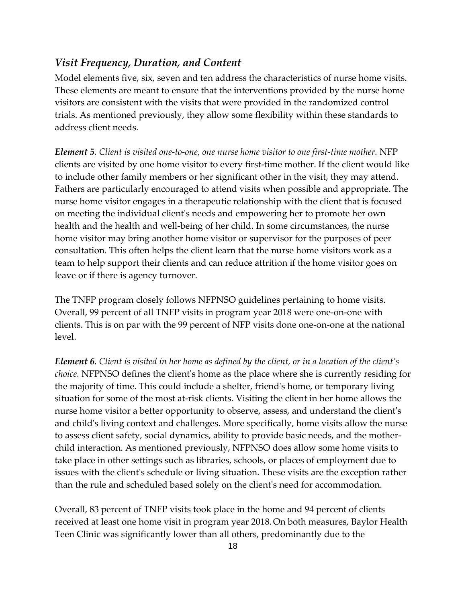#### <span id="page-21-0"></span>*Visit Frequency, Duration, and Content*

Model elements five, six, seven and ten address the characteristics of nurse home visits. These elements are meant to ensure that the interventions provided by the nurse home visitors are consistent with the visits that were provided in the randomized control trials. As mentioned previously, they allow some flexibility within these standards to address client needs.

*Element 5. Client is visited one-to-one, one nurse home visitor to one first-time mother.* NFP clients are visited by one home visitor to every first-time mother. If the client would like to include other family members or her significant other in the visit, they may attend. Fathers are particularly encouraged to attend visits when possible and appropriate. The nurse home visitor engages in a therapeutic relationship with the client that is focused on meeting the individual client's needs and empowering her to promote her own health and the health and well-being of her child. In some circumstances, the nurse home visitor may bring another home visitor or supervisor for the purposes of peer consultation. This often helps the client learn that the nurse home visitors work as a team to help support their clients and can reduce attrition if the home visitor goes on leave or if there is agency turnover.

The TNFP program closely follows NFPNSO guidelines pertaining to home visits. Overall, 99 percent of all TNFP visits in program year 2018 were one-on-one with clients. This is on par with the 99 percent of NFP visits done one-on-one at the national level.

*Element 6. Client is visited in her home as defined by the client, or in a location of the client's choice.* NFPNSO defines the client's home as the place where she is currently residing for the majority of time. This could include a shelter, friend's home, or temporary living situation for some of the most at-risk clients. Visiting the client in her home allows the nurse home visitor a better opportunity to observe, assess, and understand the client's and child's living context and challenges. More specifically, home visits allow the nurse to assess client safety, social dynamics, ability to provide basic needs, and the motherchild interaction. As mentioned previously, NFPNSO does allow some home visits to take place in other settings such as libraries, schools, or places of employment due to issues with the client's schedule or living situation. These visits are the exception rather than the rule and scheduled based solely on the client's need for accommodation.

Overall, 83 percent of TNFP visits took place in the home and 94 percent of clients received at least one home visit in program year 2018.On both measures, Baylor Health Teen Clinic was significantly lower than all others, predominantly due to the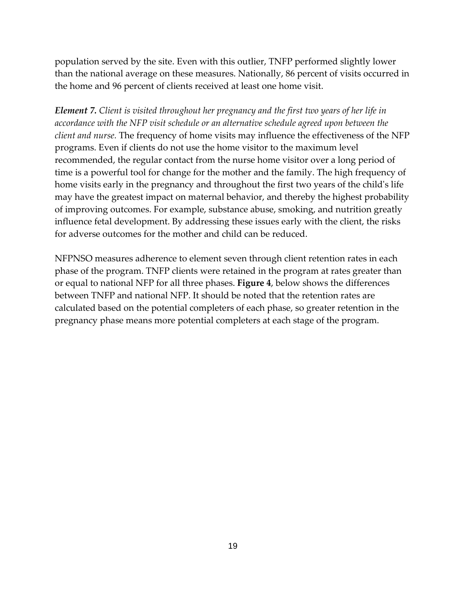population served by the site. Even with this outlier, TNFP performed slightly lower than the national average on these measures. Nationally, 86 percent of visits occurred in the home and 96 percent of clients received at least one home visit.

*Element 7. Client is visited throughout her pregnancy and the first two years of her life in accordance with the NFP visit schedule or an alternative schedule agreed upon between the client and nurse.* The frequency of home visits may influence the effectiveness of the NFP programs. Even if clients do not use the home visitor to the maximum level recommended, the regular contact from the nurse home visitor over a long period of time is a powerful tool for change for the mother and the family. The high frequency of home visits early in the pregnancy and throughout the first two years of the child's life may have the greatest impact on maternal behavior, and thereby the highest probability of improving outcomes. For example, substance abuse, smoking, and nutrition greatly influence fetal development. By addressing these issues early with the client, the risks for adverse outcomes for the mother and child can be reduced.

NFPNSO measures adherence to element seven through client retention rates in each phase of the program. TNFP clients were retained in the program at rates greater than or equal to national NFP for all three phases. **Figure 4**, below shows the differences between TNFP and national NFP. It should be noted that the retention rates are calculated based on the potential completers of each phase, so greater retention in the pregnancy phase means more potential completers at each stage of the program.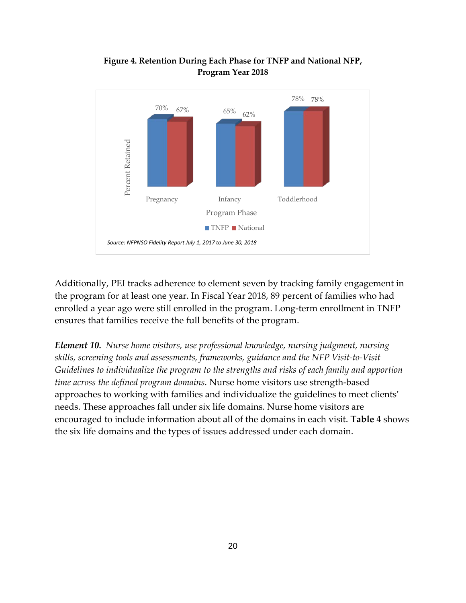<span id="page-23-0"></span>

#### **Figure 4. Retention During Each Phase for TNFP and National NFP, Program Year 2018**

Additionally, PEI tracks adherence to element seven by tracking family engagement in the program for at least one year. In Fiscal Year 2018, 89 percent of families who had enrolled a year ago were still enrolled in the program. Long-term enrollment in TNFP ensures that families receive the full benefits of the program.

*Element 10. Nurse home visitors, use professional knowledge, nursing judgment, nursing skills, screening tools and assessments, frameworks, guidance and the NFP Visit-to-Visit Guidelines to individualize the program to the strengths and risks of each family and apportion time across the defined program domains.* Nurse home visitors use strength-based approaches to working with families and individualize the guidelines to meet clients' needs. These approaches fall under six life domains. Nurse home visitors are encouraged to include information about all of the domains in each visit. **Table 4** shows the six life domains and the types of issues addressed under each domain.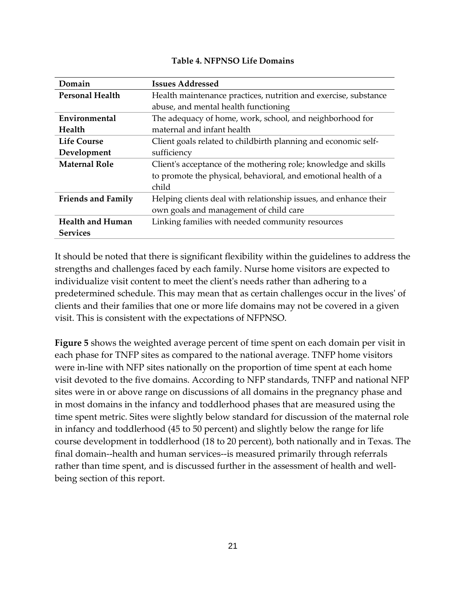|  | <b>Table 4. NFPNSO Life Domains</b> |  |  |
|--|-------------------------------------|--|--|
|--|-------------------------------------|--|--|

<span id="page-24-0"></span>

| Domain                    | <b>Issues Addressed</b>                                          |  |
|---------------------------|------------------------------------------------------------------|--|
| <b>Personal Health</b>    | Health maintenance practices, nutrition and exercise, substance  |  |
|                           | abuse, and mental health functioning                             |  |
| Environmental             | The adequacy of home, work, school, and neighborhood for         |  |
| Health                    | maternal and infant health                                       |  |
| <b>Life Course</b>        | Client goals related to childbirth planning and economic self-   |  |
| Development               | sufficiency                                                      |  |
| <b>Maternal Role</b>      | Client's acceptance of the mothering role; knowledge and skills  |  |
|                           | to promote the physical, behavioral, and emotional health of a   |  |
|                           | child                                                            |  |
| <b>Friends and Family</b> | Helping clients deal with relationship issues, and enhance their |  |
|                           | own goals and management of child care                           |  |
| <b>Health and Human</b>   | Linking families with needed community resources                 |  |
| <b>Services</b>           |                                                                  |  |

It should be noted that there is significant flexibility within the guidelines to address the strengths and challenges faced by each family. Nurse home visitors are expected to individualize visit content to meet the client's needs rather than adhering to a predetermined schedule. This may mean that as certain challenges occur in the lives' of clients and their families that one or more life domains may not be covered in a given visit. This is consistent with the expectations of NFPNSO.

**Figure 5** shows the weighted average percent of time spent on each domain per visit in each phase for TNFP sites as compared to the national average. TNFP home visitors were in-line with NFP sites nationally on the proportion of time spent at each home visit devoted to the five domains. According to NFP standards, TNFP and national NFP sites were in or above range on discussions of all domains in the pregnancy phase and in most domains in the infancy and toddlerhood phases that are measured using the time spent metric. Sites were slightly below standard for discussion of the maternal role in infancy and toddlerhood (45 to 50 percent) and slightly below the range for life course development in toddlerhood (18 to 20 percent), both nationally and in Texas. The final domain--health and human services--is measured primarily through referrals rather than time spent, and is discussed further in the assessment of health and wellbeing section of this report.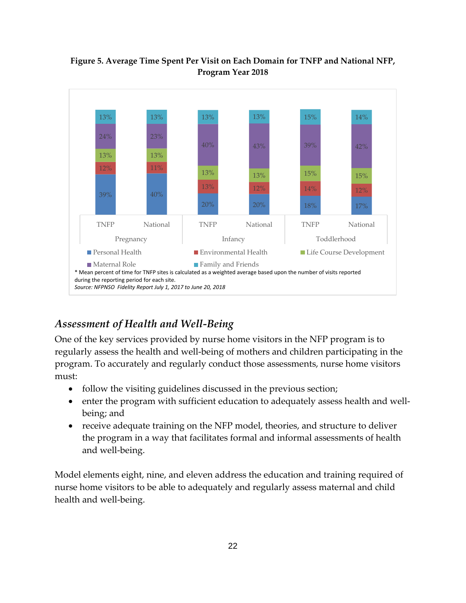

#### <span id="page-25-1"></span>**Figure 5. Average Time Spent Per Visit on Each Domain for TNFP and National NFP, Program Year 2018**

### <span id="page-25-0"></span>*Assessment of Health and Well-Being*

One of the key services provided by nurse home visitors in the NFP program is to regularly assess the health and well-being of mothers and children participating in the program. To accurately and regularly conduct those assessments, nurse home visitors must:

- follow the visiting guidelines discussed in the previous section;
- enter the program with sufficient education to adequately assess health and wellbeing; and
- receive adequate training on the NFP model, theories, and structure to deliver the program in a way that facilitates formal and informal assessments of health and well-being.

Model elements eight, nine, and eleven address the education and training required of nurse home visitors to be able to adequately and regularly assess maternal and child health and well-being.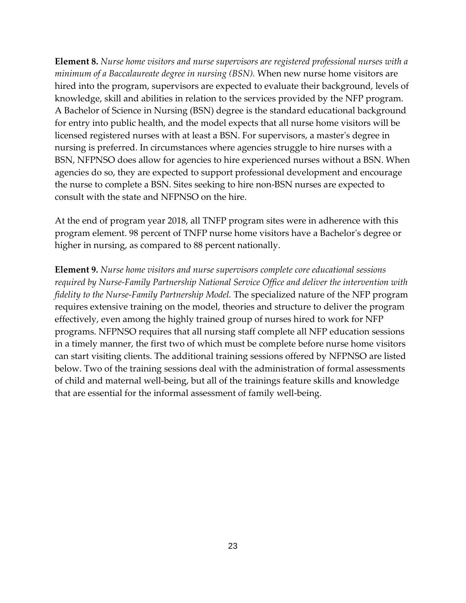**Element 8.** *Nurse home visitors and nurse supervisors are registered professional nurses with a minimum of a Baccalaureate degree in nursing (BSN).* When new nurse home visitors are hired into the program, supervisors are expected to evaluate their background, levels of knowledge, skill and abilities in relation to the services provided by the NFP program. A Bachelor of Science in Nursing (BSN) degree is the standard educational background for entry into public health, and the model expects that all nurse home visitors will be licensed registered nurses with at least a BSN. For supervisors, a master's degree in nursing is preferred. In circumstances where agencies struggle to hire nurses with a BSN, NFPNSO does allow for agencies to hire experienced nurses without a BSN. When agencies do so, they are expected to support professional development and encourage the nurse to complete a BSN. Sites seeking to hire non-BSN nurses are expected to consult with the state and NFPNSO on the hire.

At the end of program year 2018, all TNFP program sites were in adherence with this program element. 98 percent of TNFP nurse home visitors have a Bachelor's degree or higher in nursing, as compared to 88 percent nationally.

**Element 9***. Nurse home visitors and nurse supervisors complete core educational sessions required by Nurse-Family Partnership National Service Office and deliver the intervention with fidelity to the Nurse-Family Partnership Model.* The specialized nature of the NFP program requires extensive training on the model, theories and structure to deliver the program effectively, even among the highly trained group of nurses hired to work for NFP programs. NFPNSO requires that all nursing staff complete all NFP education sessions in a timely manner, the first two of which must be complete before nurse home visitors can start visiting clients. The additional training sessions offered by NFPNSO are listed below. Two of the training sessions deal with the administration of formal assessments of child and maternal well-being, but all of the trainings feature skills and knowledge that are essential for the informal assessment of family well-being.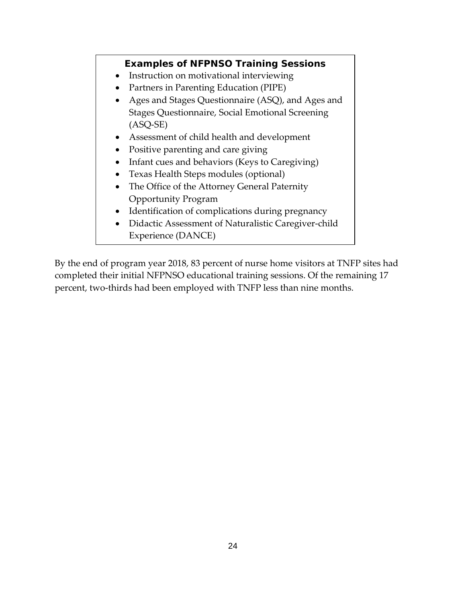#### **Examples of NFPNSO Training Sessions**

- Instruction on motivational interviewing
- Partners in Parenting Education (PIPE)
- Ages and Stages Questionnaire (ASQ), and Ages and Stages Questionnaire, Social Emotional Screening (ASQ-SE)
- Assessment of child health and development
- Positive parenting and care giving
- Infant cues and behaviors (Keys to Caregiving)
- Texas Health Steps modules (optional)
- The Office of the Attorney General Paternity Opportunity Program
- Identification of complications during pregnancy
- Didactic Assessment of Naturalistic Caregiver-child Experience (DANCE)

By the end of program year 2018, 83 percent of nurse home visitors at TNFP sites had completed their initial NFPNSO educational training sessions. Of the remaining 17 percent, two-thirds had been employed with TNFP less than nine months.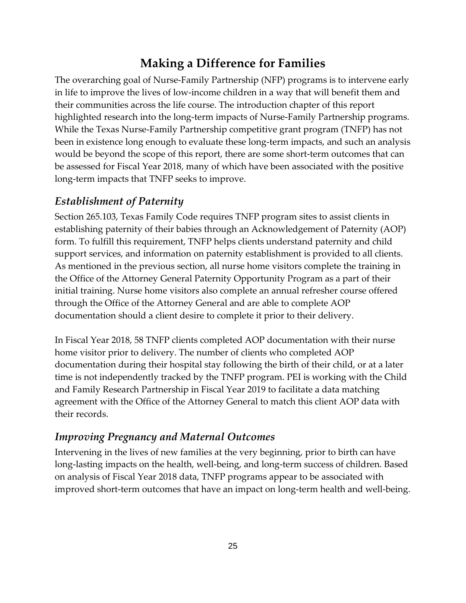# **Making a Difference for Families**

<span id="page-28-0"></span>The overarching goal of Nurse-Family Partnership (NFP) programs is to intervene early in life to improve the lives of low-income children in a way that will benefit them and their communities across the life course. The introduction chapter of this report highlighted research into the long-term impacts of Nurse-Family Partnership programs. While the Texas Nurse-Family Partnership competitive grant program (TNFP) has not been in existence long enough to evaluate these long-term impacts, and such an analysis would be beyond the scope of this report, there are some short-term outcomes that can be assessed for Fiscal Year 2018, many of which have been associated with the positive long-term impacts that TNFP seeks to improve.

#### <span id="page-28-1"></span>*Establishment of Paternity*

Section 265.103, Texas Family Code requires TNFP program sites to assist clients in establishing paternity of their babies through an Acknowledgement of Paternity (AOP) form. To fulfill this requirement, TNFP helps clients understand paternity and child support services, and information on paternity establishment is provided to all clients. As mentioned in the previous section, all nurse home visitors complete the training in the Office of the Attorney General Paternity Opportunity Program as a part of their initial training. Nurse home visitors also complete an annual refresher course offered through the Office of the Attorney General and are able to complete AOP documentation should a client desire to complete it prior to their delivery.

In Fiscal Year 2018, 58 TNFP clients completed AOP documentation with their nurse home visitor prior to delivery. The number of clients who completed AOP documentation during their hospital stay following the birth of their child, or at a later time is not independently tracked by the TNFP program. PEI is working with the Child and Family Research Partnership in Fiscal Year 2019 to facilitate a data matching agreement with the Office of the Attorney General to match this client AOP data with their records.

#### <span id="page-28-2"></span>*Improving Pregnancy and Maternal Outcomes*

Intervening in the lives of new families at the very beginning, prior to birth can have long-lasting impacts on the health, well-being, and long-term success of children. Based on analysis of Fiscal Year 2018 data, TNFP programs appear to be associated with improved short-term outcomes that have an impact on long-term health and well-being.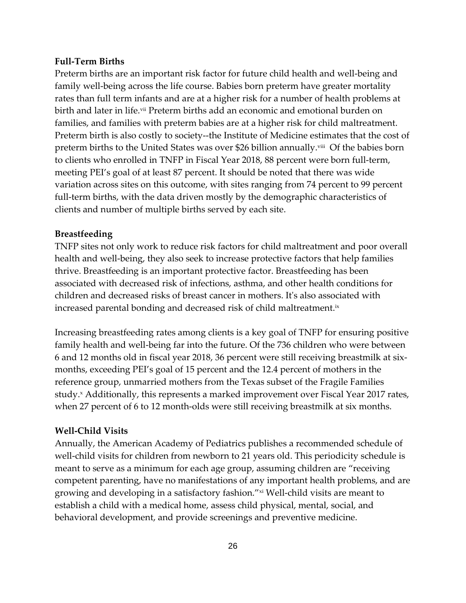#### **Full-Term Births**

Preterm births are an important risk factor for future child health and well-being and family well-being across the life course. Babies born preterm have greater mortality rates than full term infants and are at a higher risk for a number of health problems at birth and later in life.vii Preterm births add an economic and emotional burden on families, and families with preterm babies are at a higher risk for child maltreatment. Preterm birth is also costly to society--the Institute of Medicine estimates that the cost of preterm births to the United States was over \$26 billion annually.<sup>viii</sup> Of the babies born to clients who enrolled in TNFP in Fiscal Year 2018, 88 percent were born full-term, meeting PEI's goal of at least 87 percent. It should be noted that there was wide variation across sites on this outcome, with sites ranging from 74 percent to 99 percent full-term births, with the data driven mostly by the demographic characteristics of clients and number of multiple births served by each site.

#### **Breastfeeding**

TNFP sites not only work to reduce risk factors for child maltreatment and poor overall health and well-being, they also seek to increase protective factors that help families thrive. Breastfeeding is an important protective factor. Breastfeeding has been associated with decreased risk of infections, asthma, and other health conditions for children and decreased risks of breast cancer in mothers. It's also associated with increased parental bonding and decreased risk of child maltreatment.<sup>ix</sup>

Increasing breastfeeding rates among clients is a key goal of TNFP for ensuring positive family health and well-being far into the future. Of the 736 children who were between 6 and 12 months old in fiscal year 2018, 36 percent were still receiving breastmilk at sixmonths, exceeding PEI's goal of 15 percent and the 12.4 percent of mothers in the reference group, unmarried mothers from the Texas subset of the Fragile Families study.<sup>x</sup> Additionally, this represents a marked improvement over Fiscal Year 2017 rates, when 27 percent of 6 to 12 month-olds were still receiving breastmilk at six months.

#### **Well-Child Visits**

Annually, the American Academy of Pediatrics publishes a recommended schedule of well-child visits for children from newborn to 21 years old. This periodicity schedule is meant to serve as a minimum for each age group, assuming children are "receiving competent parenting, have no manifestations of any important health problems, and are growing and developing in a satisfactory fashion."xi Well-child visits are meant to establish a child with a medical home, assess child physical, mental, social, and behavioral development, and provide screenings and preventive medicine.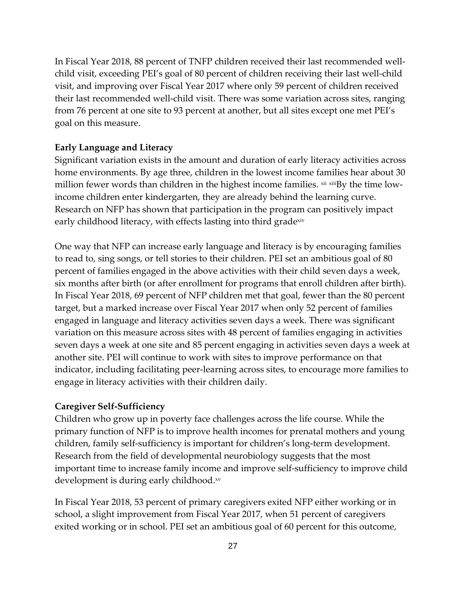In Fiscal Year 2018, 88 percent of TNFP children received their last recommended wellchild visit, exceeding PEI's goal of 80 percent of children receiving their last well-child visit, and improving over Fiscal Year 2017 where only 59 percent of children received their last recommended well-child visit. There was some variation across sites, ranging from 76 percent at one site to 93 percent at another, but all sites except one met PEI's goal on this measure.

#### **Early Language and Literacy**

Significant variation exists in the amount and duration of early literacy activities across home environments. By age three, children in the lowest income families hear about 30 million fewer words than children in the highest income families. xii xiiiBy the time lowincome children enter kindergarten, they are already behind the learning curve. Research on NFP has shown that participation in the program can positively impact early childhood literacy, with effects lasting into third gradexiv

One way that NFP can increase early language and literacy is by encouraging families to read to, sing songs, or tell stories to their children. PEI set an ambitious goal of 80 percent of families engaged in the above activities with their child seven days a week, six months after birth (or after enrollment for programs that enroll children after birth). In Fiscal Year 2018, 69 percent of NFP children met that goal, fewer than the 80 percent target, but a marked increase over Fiscal Year 2017 when only 52 percent of families engaged in language and literacy activities seven days a week. There was significant variation on this measure across sites with 48 percent of families engaging in activities seven days a week at one site and 85 percent engaging in activities seven days a week at another site. PEI will continue to work with sites to improve performance on that indicator, including facilitating peer-learning across sites, to encourage more families to engage in literacy activities with their children daily.

#### **Caregiver Self-Sufficiency**

Children who grow up in poverty face challenges across the life course. While the primary function of NFP is to improve health incomes for prenatal mothers and young children, family self-sufficiency is important for children's long-term development. Research from the field of developmental neurobiology suggests that the most important time to increase family income and improve self-sufficiency to improve child development is during early childhood.xv

In Fiscal Year 2018, 53 percent of primary caregivers exited NFP either working or in school, a slight improvement from Fiscal Year 2017, when 51 percent of caregivers exited working or in school. PEI set an ambitious goal of 60 percent for this outcome,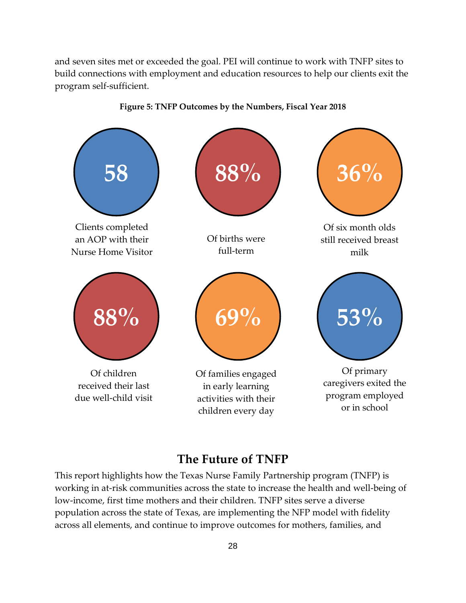and seven sites met or exceeded the goal. PEI will continue to work with TNFP sites to build connections with employment and education resources to help our clients exit the program self-sufficient.



#### **Figure 5: TNFP Outcomes by the Numbers, Fiscal Year 2018**

### **The Future of TNFP**

<span id="page-31-0"></span>This report highlights how the Texas Nurse Family Partnership program (TNFP) is working in at-risk communities across the state to increase the health and well-being of low-income, first time mothers and their children. TNFP sites serve a diverse population across the state of Texas, are implementing the NFP model with fidelity across all elements, and continue to improve outcomes for mothers, families, and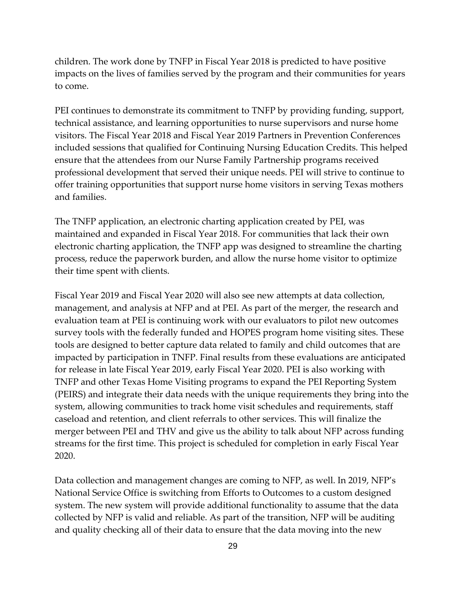children. The work done by TNFP in Fiscal Year 2018 is predicted to have positive impacts on the lives of families served by the program and their communities for years to come.

PEI continues to demonstrate its commitment to TNFP by providing funding, support, technical assistance, and learning opportunities to nurse supervisors and nurse home visitors. The Fiscal Year 2018 and Fiscal Year 2019 Partners in Prevention Conferences included sessions that qualified for Continuing Nursing Education Credits. This helped ensure that the attendees from our Nurse Family Partnership programs received professional development that served their unique needs. PEI will strive to continue to offer training opportunities that support nurse home visitors in serving Texas mothers and families.

The TNFP application, an electronic charting application created by PEI, was maintained and expanded in Fiscal Year 2018. For communities that lack their own electronic charting application, the TNFP app was designed to streamline the charting process, reduce the paperwork burden, and allow the nurse home visitor to optimize their time spent with clients.

Fiscal Year 2019 and Fiscal Year 2020 will also see new attempts at data collection, management, and analysis at NFP and at PEI. As part of the merger, the research and evaluation team at PEI is continuing work with our evaluators to pilot new outcomes survey tools with the federally funded and HOPES program home visiting sites. These tools are designed to better capture data related to family and child outcomes that are impacted by participation in TNFP. Final results from these evaluations are anticipated for release in late Fiscal Year 2019, early Fiscal Year 2020. PEI is also working with TNFP and other Texas Home Visiting programs to expand the PEI Reporting System (PEIRS) and integrate their data needs with the unique requirements they bring into the system, allowing communities to track home visit schedules and requirements, staff caseload and retention, and client referrals to other services. This will finalize the merger between PEI and THV and give us the ability to talk about NFP across funding streams for the first time. This project is scheduled for completion in early Fiscal Year 2020.

Data collection and management changes are coming to NFP, as well. In 2019, NFP's National Service Office is switching from Efforts to Outcomes to a custom designed system. The new system will provide additional functionality to assume that the data collected by NFP is valid and reliable. As part of the transition, NFP will be auditing and quality checking all of their data to ensure that the data moving into the new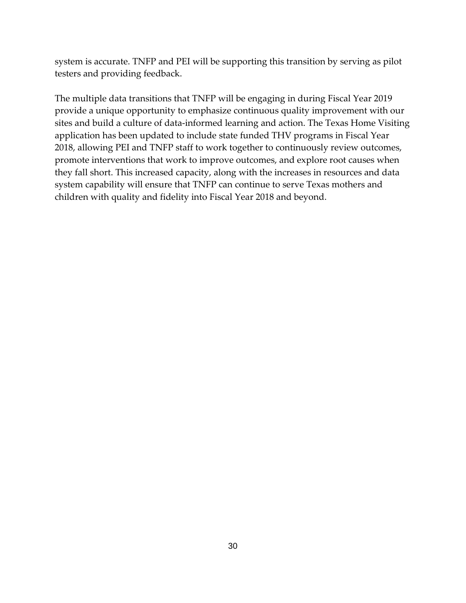system is accurate. TNFP and PEI will be supporting this transition by serving as pilot testers and providing feedback.

The multiple data transitions that TNFP will be engaging in during Fiscal Year 2019 provide a unique opportunity to emphasize continuous quality improvement with our sites and build a culture of data-informed learning and action. The Texas Home Visiting application has been updated to include state funded THV programs in Fiscal Year 2018, allowing PEI and TNFP staff to work together to continuously review outcomes, promote interventions that work to improve outcomes, and explore root causes when they fall short. This increased capacity, along with the increases in resources and data system capability will ensure that TNFP can continue to serve Texas mothers and children with quality and fidelity into Fiscal Year 2018 and beyond.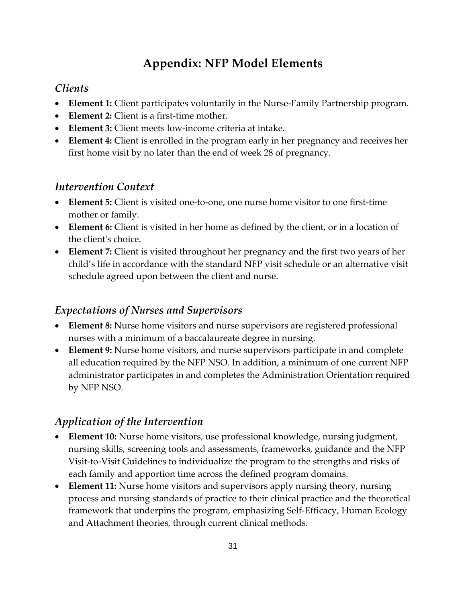# **Appendix: NFP Model Elements**

### <span id="page-34-1"></span><span id="page-34-0"></span>*Clients*

- **Element 1:** Client participates voluntarily in the Nurse-Family Partnership program.
- **Element 2:** Client is a first-time mother.
- **Element 3:** Client meets low-income criteria at intake.
- **Element 4:** Client is enrolled in the program early in her pregnancy and receives her first home visit by no later than the end of week 28 of pregnancy.

### <span id="page-34-2"></span>*Intervention Context*

- **Element 5:** Client is visited one-to-one, one nurse home visitor to one first-time mother or family.
- **Element 6:** Client is visited in her home as defined by the client, or in a location of the client's choice.
- **Element 7:** Client is visited throughout her pregnancy and the first two years of her child's life in accordance with the standard NFP visit schedule or an alternative visit schedule agreed upon between the client and nurse.

#### <span id="page-34-3"></span>*Expectations of Nurses and Supervisors*

- **Element 8:** Nurse home visitors and nurse supervisors are registered professional nurses with a minimum of a baccalaureate degree in nursing.
- **Element 9:** Nurse home visitors, and nurse supervisors participate in and complete all education required by the NFP NSO. In addition, a minimum of one current NFP administrator participates in and completes the Administration Orientation required by NFP NSO.

### <span id="page-34-4"></span>*Application of the Intervention*

- **Element 10:** Nurse home visitors, use professional knowledge, nursing judgment, nursing skills, screening tools and assessments, frameworks, guidance and the NFP Visit-to-Visit Guidelines to individualize the program to the strengths and risks of each family and apportion time across the defined program domains.
- **Element 11:** Nurse home visitors and supervisors apply nursing theory, nursing process and nursing standards of practice to their clinical practice and the theoretical framework that underpins the program, emphasizing Self-Efficacy, Human Ecology and Attachment theories, through current clinical methods.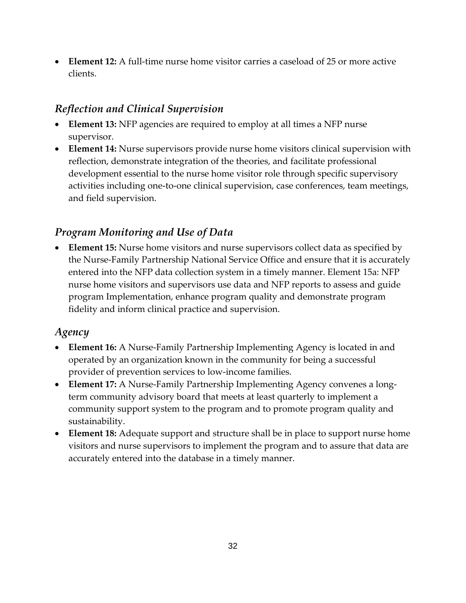• **Element 12:** A full-time nurse home visitor carries a caseload of 25 or more active clients.

### <span id="page-35-0"></span>*Reflection and Clinical Supervision*

- **Element 13:** NFP agencies are required to employ at all times a NFP nurse supervisor.
- **Element 14:** Nurse supervisors provide nurse home visitors clinical supervision with reflection, demonstrate integration of the theories, and facilitate professional development essential to the nurse home visitor role through specific supervisory activities including one-to-one clinical supervision, case conferences, team meetings, and field supervision.

### <span id="page-35-1"></span>*Program Monitoring and Use of Data*

• **Element 15:** Nurse home visitors and nurse supervisors collect data as specified by the Nurse-Family Partnership National Service Office and ensure that it is accurately entered into the NFP data collection system in a timely manner. Element 15a: NFP nurse home visitors and supervisors use data and NFP reports to assess and guide program Implementation, enhance program quality and demonstrate program fidelity and inform clinical practice and supervision.

#### <span id="page-35-2"></span>*Agency*

- **Element 16:** A Nurse-Family Partnership Implementing Agency is located in and operated by an organization known in the community for being a successful provider of prevention services to low-income families.
- **Element 17:** A Nurse-Family Partnership Implementing Agency convenes a longterm community advisory board that meets at least quarterly to implement a community support system to the program and to promote program quality and sustainability.
- **Element 18:** Adequate support and structure shall be in place to support nurse home visitors and nurse supervisors to implement the program and to assure that data are accurately entered into the database in a timely manner.